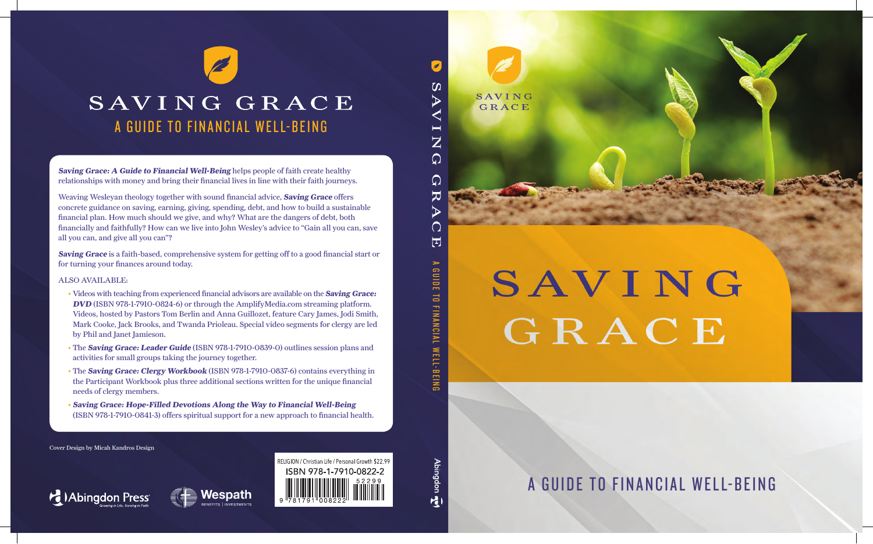

# SAVING GRACE

A GUIDE TO FINANCIAL WELL-BEING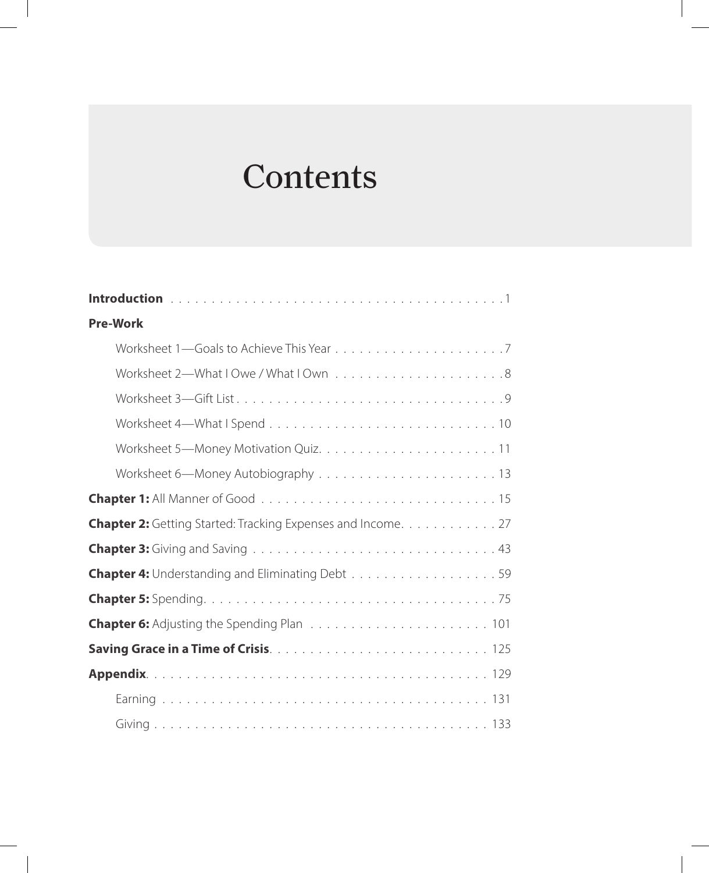# **Contents**

| <b>Pre-Work</b>                                                     |  |  |
|---------------------------------------------------------------------|--|--|
|                                                                     |  |  |
|                                                                     |  |  |
|                                                                     |  |  |
|                                                                     |  |  |
|                                                                     |  |  |
|                                                                     |  |  |
|                                                                     |  |  |
| <b>Chapter 2:</b> Getting Started: Tracking Expenses and Income. 27 |  |  |
|                                                                     |  |  |
|                                                                     |  |  |
|                                                                     |  |  |
|                                                                     |  |  |
|                                                                     |  |  |
|                                                                     |  |  |
|                                                                     |  |  |
|                                                                     |  |  |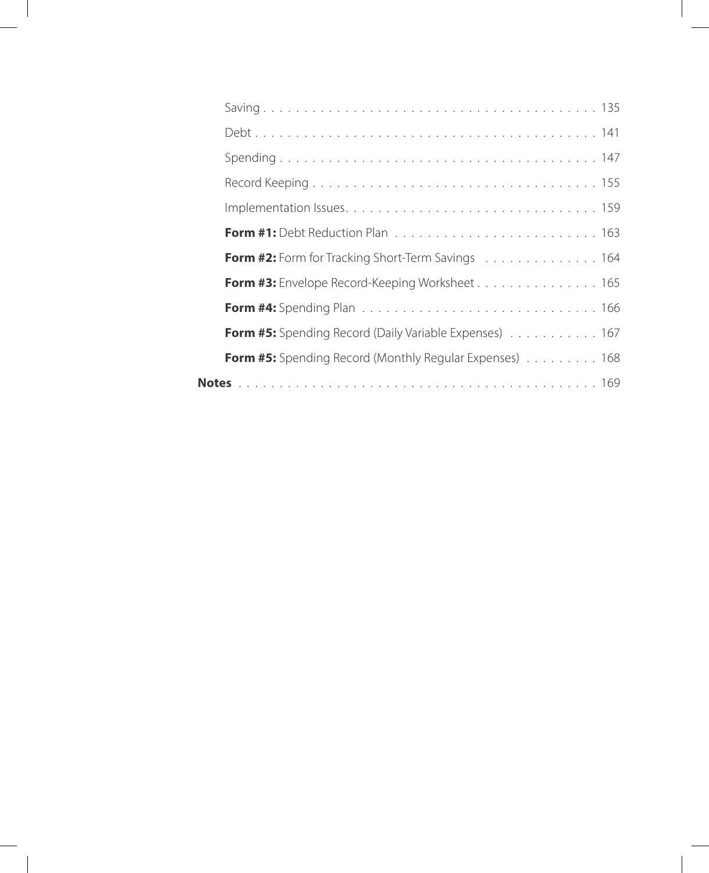| Form #2: Form for Tracking Short-Term Savings 164              |
|----------------------------------------------------------------|
| <b>Form #3:</b> Envelope Record-Keeping Worksheet 165          |
|                                                                |
| <b>Form #5:</b> Spending Record (Daily Variable Expenses) 167  |
| <b>Form #5:</b> Spending Record (Monthly Regular Expenses) 168 |
|                                                                |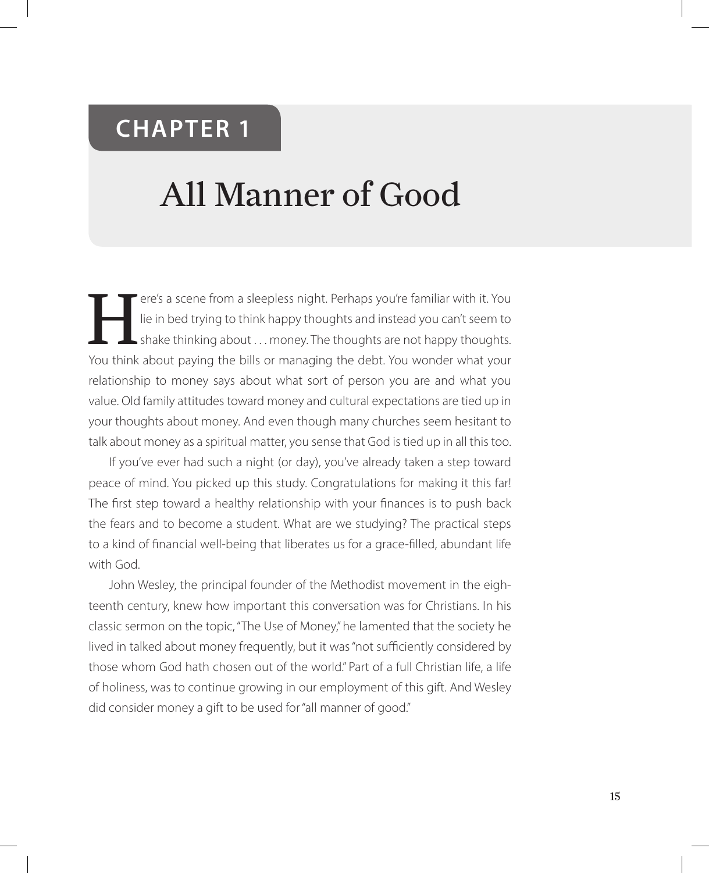# **CHAPTER 1**

# All Manner of Good

Tere's a scene from a sleepless night. Perhaps you're familiar with it. You<br>lie in bed trying to think happy thoughts and instead you can't seem to<br>shake thinking about ... money. The thoughts are not happy thoughts. lie in bed trying to think happy thoughts and instead you can't seem to shake thinking about . . . money. The thoughts are not happy thoughts. You think about paying the bills or managing the debt. You wonder what your relationship to money says about what sort of person you are and what you value. Old family attitudes toward money and cultural expectations are tied up in your thoughts about money. And even though many churches seem hesitant to talk about money as a spiritual matter, you sense that God is tied up in all this too.

If you've ever had such a night (or day), you've already taken a step toward peace of mind. You picked up this study. Congratulations for making it this far! The first step toward a healthy relationship with your finances is to push back the fears and to become a student. What are we studying? The practical steps to a kind of financial well-being that liberates us for a grace-filled, abundant life with God.

John Wesley, the principal founder of the Methodist movement in the eighteenth century, knew how important this conversation was for Christians. In his classic sermon on the topic, "The Use of Money," he lamented that the society he lived in talked about money frequently, but it was "not sufficiently considered by those whom God hath chosen out of the world." Part of a full Christian life, a life of holiness, was to continue growing in our employment of this gift. And Wesley did consider money a gift to be used for "all manner of good."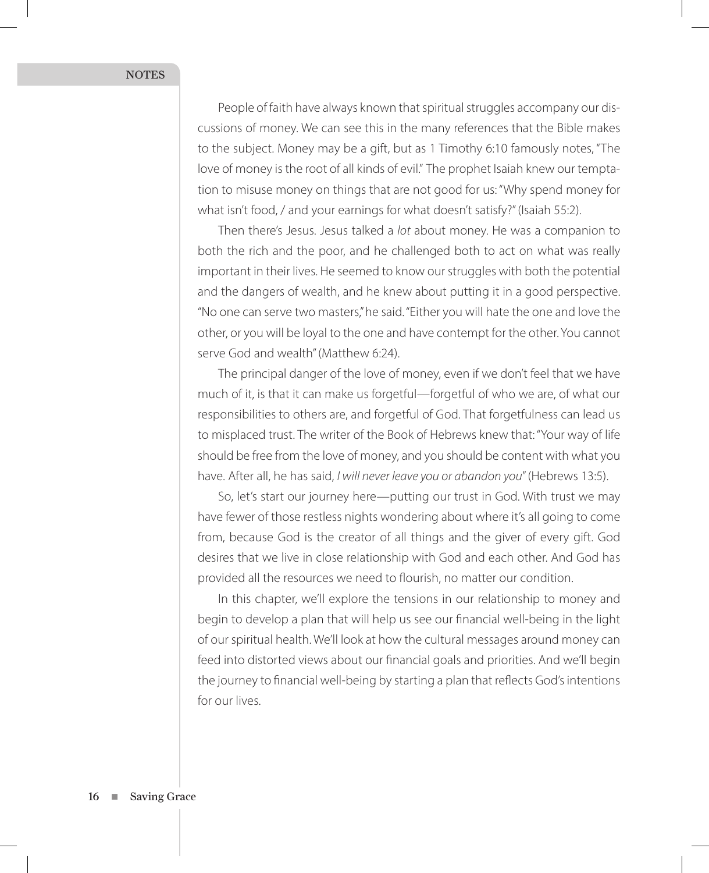People of faith have always known that spiritual struggles accompany our discussions of money. We can see this in the many references that the Bible makes to the subject. Money may be a gift, but as 1 Timothy 6:10 famously notes, "The love of money is the root of all kinds of evil." The prophet Isaiah knew our temptation to misuse money on things that are not good for us: "Why spend money for what isn't food, / and your earnings for what doesn't satisfy?" (Isaiah 55:2).

Then there's Jesus. Jesus talked a *lot* about money. He was a companion to both the rich and the poor, and he challenged both to act on what was really important in their lives. He seemed to know our struggles with both the potential and the dangers of wealth, and he knew about putting it in a good perspective. "No one can serve two masters," he said. "Either you will hate the one and love the other, or you will be loyal to the one and have contempt for the other. You cannot serve God and wealth" (Matthew 6:24).

The principal danger of the love of money, even if we don't feel that we have much of it, is that it can make us forgetful—forgetful of who we are, of what our responsibilities to others are, and forgetful of God. That forgetfulness can lead us to misplaced trust. The writer of the Book of Hebrews knew that: "Your way of life should be free from the love of money, and you should be content with what you have. After all, he has said, *I will never leave you or abandon you*" (Hebrews 13:5).

So, let's start our journey here—putting our trust in God. With trust we may have fewer of those restless nights wondering about where it's all going to come from, because God is the creator of all things and the giver of every gift. God desires that we live in close relationship with God and each other. And God has provided all the resources we need to flourish, no matter our condition.

In this chapter, we'll explore the tensions in our relationship to money and begin to develop a plan that will help us see our financial well-being in the light of our spiritual health. We'll look at how the cultural messages around money can feed into distorted views about our financial goals and priorities. And we'll begin the journey to financial well-being by starting a plan that reflects God's intentions for our lives.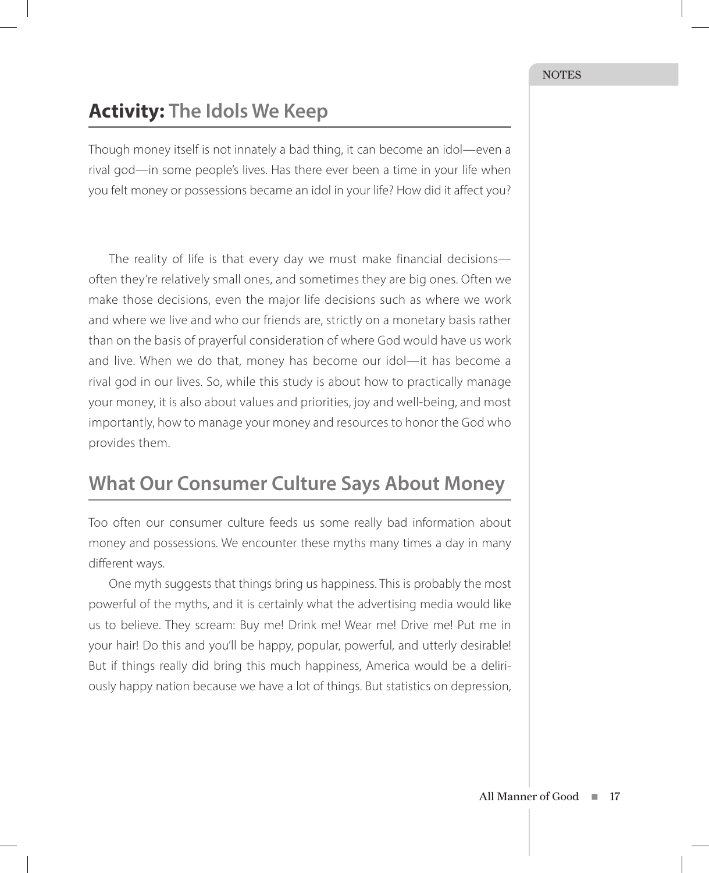## **Activity: The Idols We Keep**

Though money itself is not innately a bad thing, it can become an idol—even a rival god—in some people's lives. Has there ever been a time in your life when you felt money or possessions became an idol in your life? How did it affect you?

The reality of life is that every day we must make financial decisions often they're relatively small ones, and sometimes they are big ones. Often we make those decisions, even the major life decisions such as where we work and where we live and who our friends are, strictly on a monetary basis rather than on the basis of prayerful consideration of where God would have us work and live. When we do that, money has become our idol—it has become a rival god in our lives. So, while this study is about how to practically manage your money, it is also about values and priorities, joy and well-being, and most importantly, how to manage your money and resources to honor the God who provides them.

#### **What Our Consumer Culture Says About Money**

Too often our consumer culture feeds us some really bad information about money and possessions. We encounter these myths many times a day in many different ways.

One myth suggests that things bring us happiness. This is probably the most powerful of the myths, and it is certainly what the advertising media would like us to believe. They scream: Buy me! Drink me! Wear me! Drive me! Put me in your hair! Do this and you'll be happy, popular, powerful, and utterly desirable! But if things really did bring this much happiness, America would be a deliriously happy nation because we have a lot of things. But statistics on depression,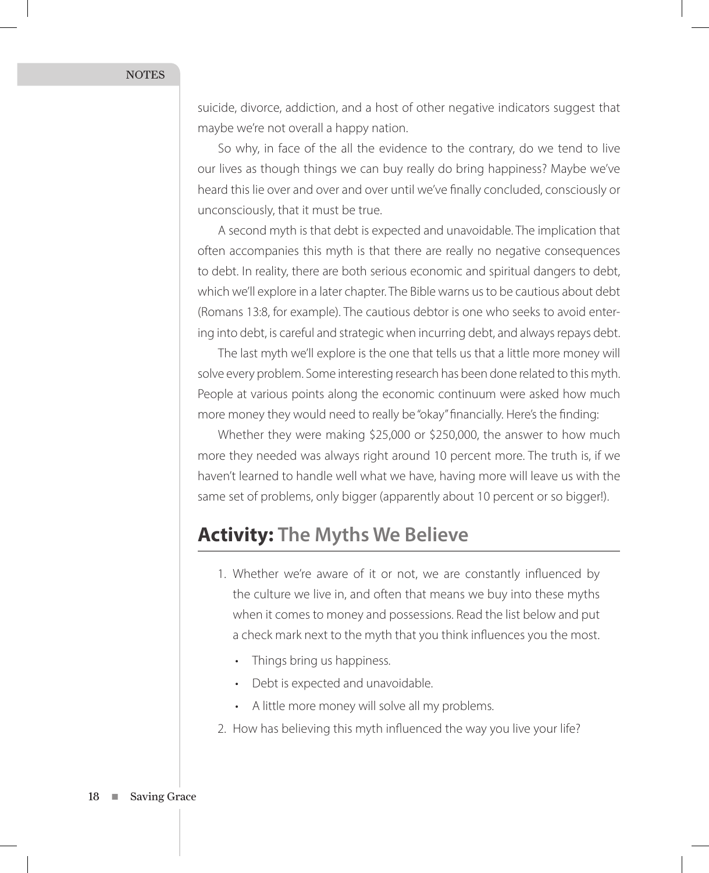suicide, divorce, addiction, and a host of other negative indicators suggest that maybe we're not overall a happy nation.

So why, in face of the all the evidence to the contrary, do we tend to live our lives as though things we can buy really do bring happiness? Maybe we've heard this lie over and over and over until we've finally concluded, consciously or unconsciously, that it must be true.

A second myth is that debt is expected and unavoidable. The implication that often accompanies this myth is that there are really no negative consequences to debt. In reality, there are both serious economic and spiritual dangers to debt, which we'll explore in a later chapter. The Bible warns us to be cautious about debt (Romans 13:8, for example). The cautious debtor is one who seeks to avoid entering into debt, is careful and strategic when incurring debt, and always repays debt.

The last myth we'll explore is the one that tells us that a little more money will solve every problem. Some interesting research has been done related to this myth. People at various points along the economic continuum were asked how much more money they would need to really be "okay" financially. Here's the finding:

Whether they were making \$25,000 or \$250,000, the answer to how much more they needed was always right around 10 percent more. The truth is, if we haven't learned to handle well what we have, having more will leave us with the same set of problems, only bigger (apparently about 10 percent or so bigger!).

#### **Activity: The Myths We Believe**

- 1. Whether we're aware of it or not, we are constantly influenced by the culture we live in, and often that means we buy into these myths when it comes to money and possessions. Read the list below and put a check mark next to the myth that you think influences you the most.
	- Things bring us happiness.
	- Debt is expected and unavoidable.
	- A little more money will solve all my problems.
- 2. How has believing this myth influenced the way you live your life?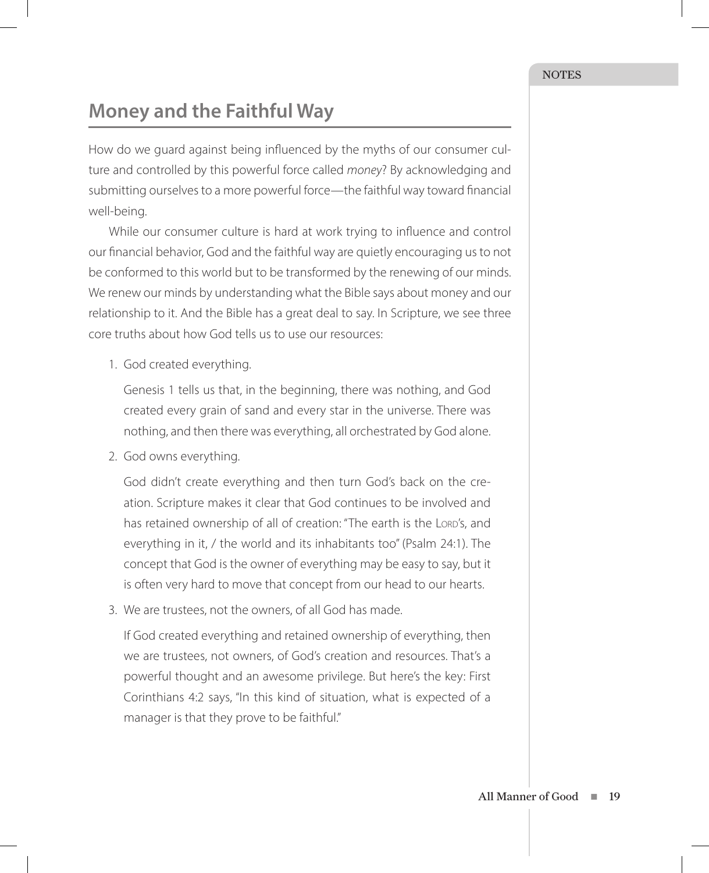## **Money and the Faithful Way**

How do we guard against being influenced by the myths of our consumer culture and controlled by this powerful force called *money*? By acknowledging and submitting ourselves to a more powerful force—the faithful way toward financial well-being.

While our consumer culture is hard at work trying to influence and control our financial behavior, God and the faithful way are quietly encouraging us to not be conformed to this world but to be transformed by the renewing of our minds. We renew our minds by understanding what the Bible says about money and our relationship to it. And the Bible has a great deal to say. In Scripture, we see three core truths about how God tells us to use our resources:

1. God created everything.

Genesis 1 tells us that, in the beginning, there was nothing, and God created every grain of sand and every star in the universe. There was nothing, and then there was everything, all orchestrated by God alone.

2. God owns everything.

God didn't create everything and then turn God's back on the creation. Scripture makes it clear that God continues to be involved and has retained ownership of all of creation: "The earth is the Lord's, and everything in it, / the world and its inhabitants too" (Psalm 24:1). The concept that God is the owner of everything may be easy to say, but it is often very hard to move that concept from our head to our hearts.

3. We are trustees, not the owners, of all God has made.

If God created everything and retained ownership of everything, then we are trustees, not owners, of God's creation and resources. That's a powerful thought and an awesome privilege. But here's the key: First Corinthians 4:2 says, "In this kind of situation, what is expected of a manager is that they prove to be faithful."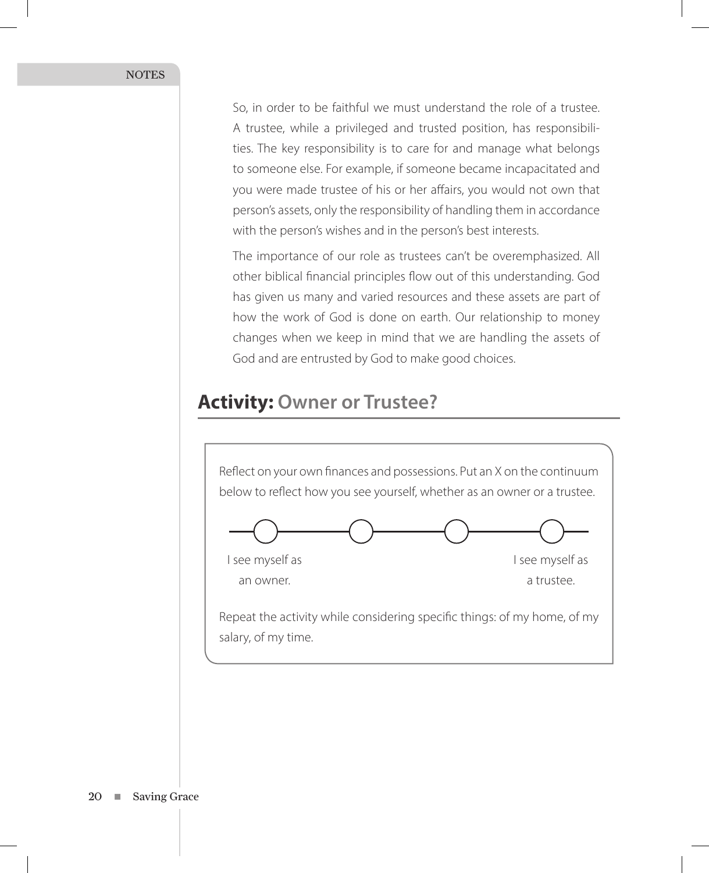So, in order to be faithful we must understand the role of a trustee. A trustee, while a privileged and trusted position, has responsibilities. The key responsibility is to care for and manage what belongs to someone else. For example, if someone became incapacitated and you were made trustee of his or her affairs, you would not own that person's assets, only the responsibility of handling them in accordance with the person's wishes and in the person's best interests.

The importance of our role as trustees can't be overemphasized. All other biblical financial principles flow out of this understanding. God has given us many and varied resources and these assets are part of how the work of God is done on earth. Our relationship to money changes when we keep in mind that we are handling the assets of God and are entrusted by God to make good choices.

#### **Activity: Owner or Trustee?**

Reflect on your own finances and possessions. Put an X on the continuum below to reflect how you see yourself, whether as an owner or a trustee.



I see myself as I see myself as an owner. **a** trustee.

Repeat the activity while considering specific things: of my home, of my salary, of my time.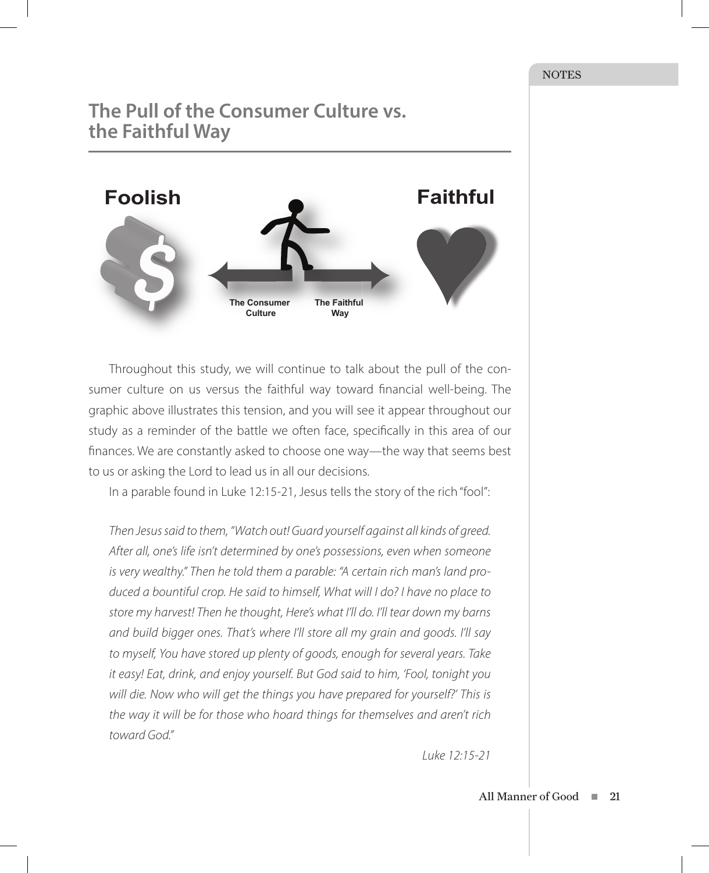#### **The Pull of the Consumer Culture vs. the Faithful Way**



Throughout this study, we will continue to talk about the pull of the consumer culture on us versus the faithful way toward financial well-being. The graphic above illustrates this tension, and you will see it appear throughout our study as a reminder of the battle we often face, specifically in this area of our finances. We are constantly asked to choose one way—the way that seems best to us or asking the Lord to lead us in all our decisions.

In a parable found in Luke 12:15-21, Jesus tells the story of the rich "fool":

*Then Jesus said to them, "Watch out! Guard yourself against all kinds of greed. After all, one's life isn't determined by one's possessions, even when someone is very wealthy." Then he told them a parable: "A certain rich man's land produced a bountiful crop. He said to himself, What will I do? I have no place to store my harvest! Then he thought, Here's what I'll do. I'll tear down my barns and build bigger ones. That's where I'll store all my grain and goods. I'll say to myself, You have stored up plenty of goods, enough for several years. Take it easy! Eat, drink, and enjoy yourself. But God said to him, 'Fool, tonight you*  will die. Now who will get the things you have prepared for yourself?' This is *the way it will be for those who hoard things for themselves and aren't rich toward God."* 

*Luke 12:15-21*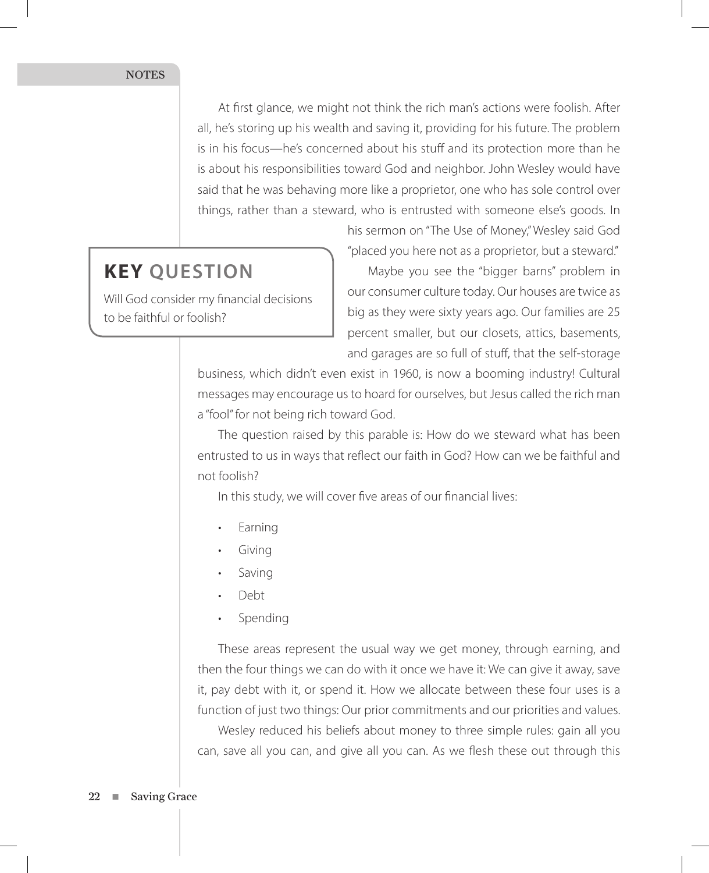At first glance, we might not think the rich man's actions were foolish. After all, he's storing up his wealth and saving it, providing for his future. The problem is in his focus—he's concerned about his stuff and its protection more than he is about his responsibilities toward God and neighbor. John Wesley would have said that he was behaving more like a proprietor, one who has sole control over things, rather than a steward, who is entrusted with someone else's goods. In

#### **KEY QUESTION**

Will God consider my financial decisions to be faithful or foolish?

his sermon on "The Use of Money," Wesley said God "placed you here not as a proprietor, but a steward."

Maybe you see the "bigger barns" problem in our consumer culture today. Our houses are twice as big as they were sixty years ago. Our families are 25 percent smaller, but our closets, attics, basements, and garages are so full of stuff, that the self-storage

business, which didn't even exist in 1960, is now a booming industry! Cultural messages may encourage us to hoard for ourselves, but Jesus called the rich man a "fool" for not being rich toward God.

The question raised by this parable is: How do we steward what has been entrusted to us in ways that reflect our faith in God? How can we be faithful and not foolish?

In this study, we will cover five areas of our financial lives:

- **Earning**
- Giving
- Saving
- Debt
- **Spending**

These areas represent the usual way we get money, through earning, and then the four things we can do with it once we have it: We can give it away, save it, pay debt with it, or spend it. How we allocate between these four uses is a function of just two things: Our prior commitments and our priorities and values.

Wesley reduced his beliefs about money to three simple rules: gain all you can, save all you can, and give all you can. As we flesh these out through this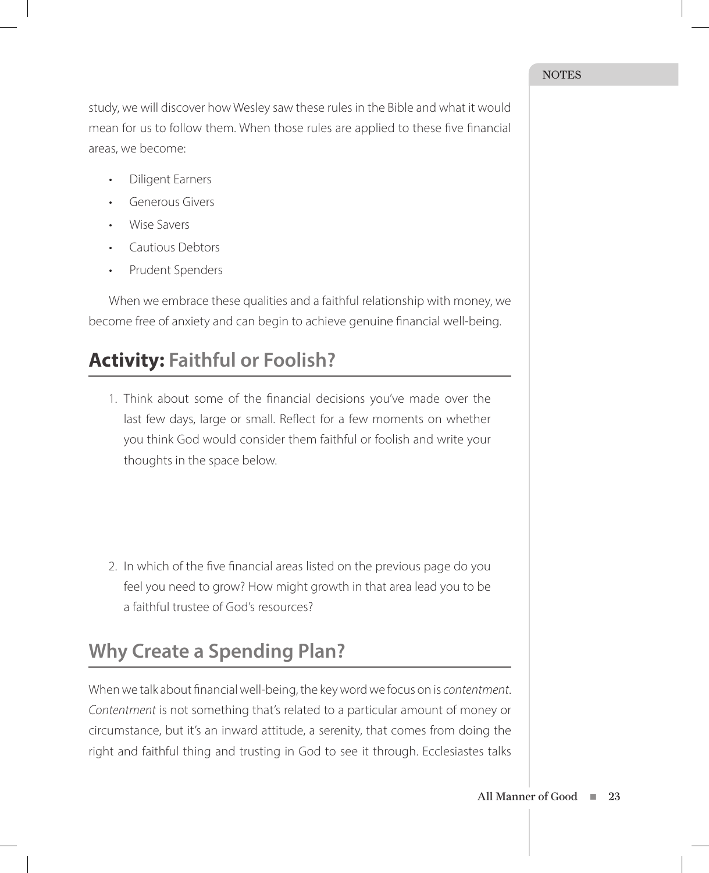study, we will discover how Wesley saw these rules in the Bible and what it would mean for us to follow them. When those rules are applied to these five financial areas, we become:

- Diligent Earners
- Generous Givers
- Wise Savers
- Cautious Debtors
- Prudent Spenders

When we embrace these qualities and a faithful relationship with money, we become free of anxiety and can begin to achieve genuine financial well-being.

# **Activity: Faithful or Foolish?**

1. Think about some of the financial decisions you've made over the last few days, large or small. Reflect for a few moments on whether you think God would consider them faithful or foolish and write your thoughts in the space below.

2. In which of the five financial areas listed on the previous page do you feel you need to grow? How might growth in that area lead you to be a faithful trustee of God's resources?

# **Why Create a Spending Plan?**

When we talk about financial well-being, the key word we focus on is *contentment*. *Contentment* is not something that's related to a particular amount of money or circumstance, but it's an inward attitude, a serenity, that comes from doing the right and faithful thing and trusting in God to see it through. Ecclesiastes talks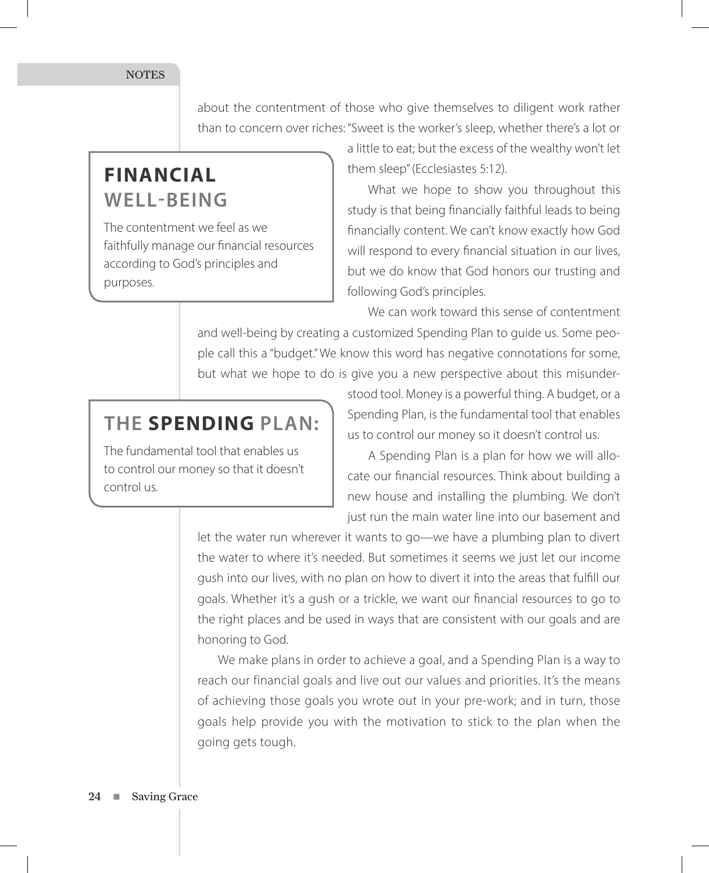about the contentment of those who give themselves to diligent work rather than to concern over riches: "Sweet is the worker's sleep, whether there's a lot or

# **FINANCIAL WELL-BEING**

The contentment we feel as we faithfully manage our financial resources according to God's principles and purposes.

a little to eat; but the excess of the wealthy won't let them sleep" (Ecclesiastes 5:12).

What we hope to show you throughout this study is that being financially faithful leads to being financially content. We can't know exactly how God will respond to every financial situation in our lives, but we do know that God honors our trusting and following God's principles.

We can work toward this sense of contentment and well-being by creating a customized Spending Plan to guide us. Some people call this a "budget." We know this word has negative connotations for some, but what we hope to do is give you a new perspective about this misunder-

## **THE SPENDING PLAN:**

The fundamental tool that enables us to control our money so that it doesn't control us.

stood tool. Money is a powerful thing. A budget, or a Spending Plan, is the fundamental tool that enables us to control our money so it doesn't control us.

A Spending Plan is a plan for how we will allocate our financial resources. Think about building a new house and installing the plumbing. We don't just run the main water line into our basement and

let the water run wherever it wants to go—we have a plumbing plan to divert the water to where it's needed. But sometimes it seems we just let our income gush into our lives, with no plan on how to divert it into the areas that fulfill our goals. Whether it's a gush or a trickle, we want our financial resources to go to the right places and be used in ways that are consistent with our goals and are honoring to God.

We make plans in order to achieve a goal, and a Spending Plan is a way to reach our financial goals and live out our values and priorities. It's the means of achieving those goals you wrote out in your pre-work; and in turn, those goals help provide you with the motivation to stick to the plan when the going gets tough.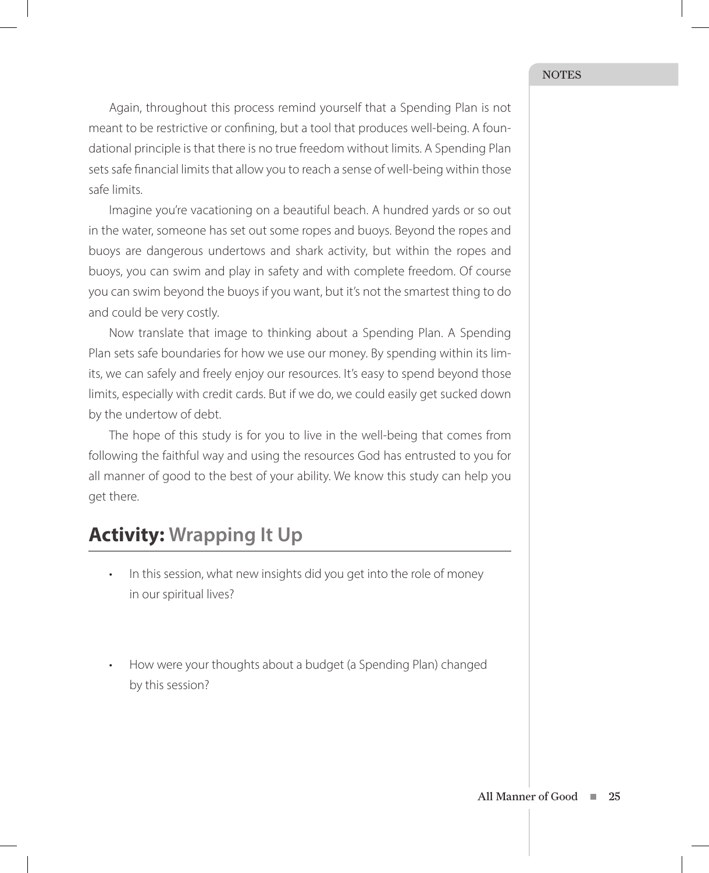Again, throughout this process remind yourself that a Spending Plan is not meant to be restrictive or confining, but a tool that produces well-being. A foundational principle is that there is no true freedom without limits. A Spending Plan sets safe financial limits that allow you to reach a sense of well-being within those safe limits.

Imagine you're vacationing on a beautiful beach. A hundred yards or so out in the water, someone has set out some ropes and buoys. Beyond the ropes and buoys are dangerous undertows and shark activity, but within the ropes and buoys, you can swim and play in safety and with complete freedom. Of course you can swim beyond the buoys if you want, but it's not the smartest thing to do and could be very costly.

Now translate that image to thinking about a Spending Plan. A Spending Plan sets safe boundaries for how we use our money. By spending within its limits, we can safely and freely enjoy our resources. It's easy to spend beyond those limits, especially with credit cards. But if we do, we could easily get sucked down by the undertow of debt.

The hope of this study is for you to live in the well-being that comes from following the faithful way and using the resources God has entrusted to you for all manner of good to the best of your ability. We know this study can help you get there.

#### **Activity: Wrapping It Up**

- In this session, what new insights did you get into the role of money in our spiritual lives?
- How were your thoughts about a budget (a Spending Plan) changed by this session?